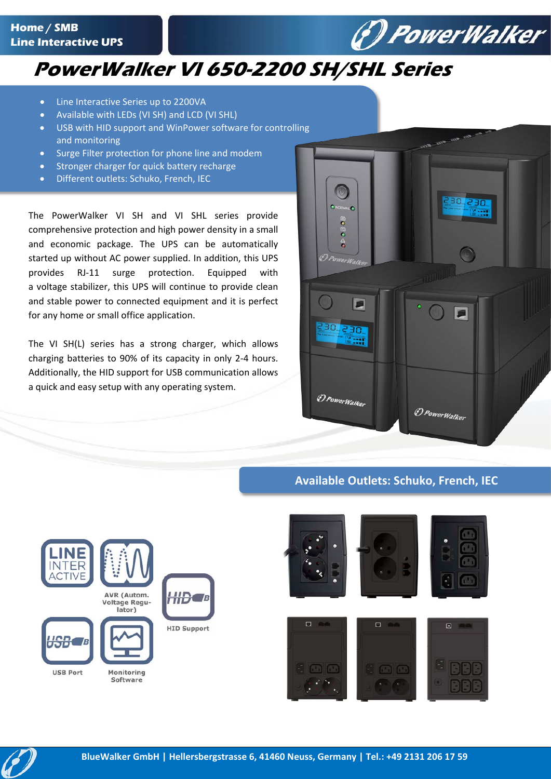

## **PowerWalker VI 650-2200 SH/SHL Series**

- Line Interactive Series up to 2200VA
- Available with LEDs (VI SH) and LCD (VI SHL)
- USB with HID support and WinPower software for controlling and monitoring
- Surge Filter protection for phone line and modem
- Stronger charger for quick battery recharge
- Different outlets: Schuko, French, IEC

The PowerWalker VI SH and VI SHL series provide comprehensive protection and high power density in a small and economic package. The UPS can be automatically started up without AC power supplied. In addition, this UPS provides RJ-11 surge protection. Equipped with a voltage stabilizer, this UPS will continue to provide clean and stable power to connected equipment and it is perfect for any home or small office application.

The VI SH(L) series has a strong charger, which allows charging batteries to 90% of its capacity in only 2-4 hours. Additionally, the HID support for USB communication allows a quick and easy setup with any operating system.



## **Available Outlets: Schuko, French, IEC**